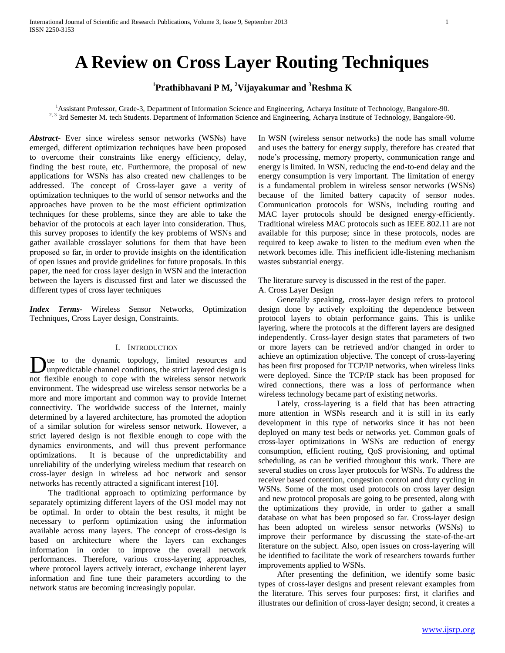# **A Review on Cross Layer Routing Techniques**

## **<sup>1</sup>Prathibhavani P M, <sup>2</sup>Vijayakumar and <sup>3</sup>Reshma K**

<sup>1</sup>Assistant Professor, Grade-3, Department of Information Science and Engineering, Acharya Institute of Technology, Bangalore-90. <sup>2, 3</sup> 3rd Semester M. tech Students. Department of Information Science and Engineering, Acharya Institute of Technology, Bangalore-90.

*Abstract***-** Ever since wireless sensor networks (WSNs) have emerged, different optimization techniques have been proposed to overcome their constraints like energy efficiency, delay, finding the best route, etc. Furthermore, the proposal of new applications for WSNs has also created new challenges to be addressed. The concept of Cross-layer gave a verity of optimization techniques to the world of sensor networks and the approaches have proven to be the most efficient optimization techniques for these problems, since they are able to take the behavior of the protocols at each layer into consideration. Thus, this survey proposes to identify the key problems of WSNs and gather available crosslayer solutions for them that have been proposed so far, in order to provide insights on the identification of open issues and provide guidelines for future proposals. In this paper, the need for cross layer design in WSN and the interaction between the layers is discussed first and later we discussed the different types of cross layer techniques

*Index Terms*- Wireless Sensor Networks, Optimization Techniques, Cross Layer design, Constraints.

## I. INTRODUCTION

ue to the dynamic topology, limited resources and unpredictable channel conditions, the strict layered design is Due to the dynamic topology, limited resources and unpredictable channel conditions, the strict layered design is not flexible enough to cope with the wireless sensor network environment. The widespread use wireless sensor networks be a more and more important and common way to provide Internet connectivity. The worldwide success of the Internet, mainly determined by a layered architecture, has promoted the adoption of a similar solution for wireless sensor network. However, a strict layered design is not flexible enough to cope with the dynamics environments, and will thus prevent performance optimizations. It is because of the unpredictability and unreliability of the underlying wireless medium that research on cross-layer design in wireless ad hoc network and sensor networks has recently attracted a significant interest [10].

 The traditional approach to optimizing performance by separately optimizing different layers of the OSI model may not be optimal. In order to obtain the best results, it might be necessary to perform optimization using the information available across many layers. The concept of cross-design is based on architecture where the layers can exchanges information in order to improve the overall network performances. Therefore, various cross-layering approaches, where protocol layers actively interact, exchange inherent layer information and fine tune their parameters according to the network status are becoming increasingly popular.

In WSN (wireless sensor networks) the node has small volume and uses the battery for energy supply, therefore has created that node's processing, memory property, communication range and energy is limited. In WSN, reducing the end-to-end delay and the energy consumption is very important. The limitation of energy is a fundamental problem in wireless sensor networks (WSNs) because of the limited battery capacity of sensor nodes. Communication protocols for WSNs, including routing and MAC layer protocols should be designed energy-efficiently. Traditional wireless MAC protocols such as IEEE 802.11 are not available for this purpose; since in these protocols, nodes are required to keep awake to listen to the medium even when the network becomes idle. This inefficient idle-listening mechanism wastes substantial energy.

The literature survey is discussed in the rest of the paper.

A. Cross Layer Design

 Generally speaking, cross-layer design refers to protocol design done by actively exploiting the dependence between protocol layers to obtain performance gains. This is unlike layering, where the protocols at the different layers are designed independently. Cross-layer design states that parameters of two or more layers can be retrieved and/or changed in order to achieve an optimization objective. The concept of cross-layering has been first proposed for TCP/IP networks, when wireless links were deployed. Since the TCP/IP stack has been proposed for wired connections, there was a loss of performance when wireless technology became part of existing networks.

 Lately, cross-layering is a field that has been attracting more attention in WSNs research and it is still in its early development in this type of networks since it has not been deployed on many test beds or networks yet. Common goals of cross-layer optimizations in WSNs are reduction of energy consumption, efficient routing, QoS provisioning, and optimal scheduling, as can be verified throughout this work. There are several studies on cross layer protocols for WSNs. To address the receiver based contention, congestion control and duty cycling in WSNs. Some of the most used protocols on cross layer design and new protocol proposals are going to be presented, along with the optimizations they provide, in order to gather a small database on what has been proposed so far. Cross-layer design has been adopted on wireless sensor networks (WSNs) to improve their performance by discussing the state-of-the-art literature on the subject. Also, open issues on cross-layering will be identified to facilitate the work of researchers towards further improvements applied to WSNs.

 After presenting the definition, we identify some basic types of cross-layer designs and present relevant examples from the literature. This serves four purposes: first, it clarifies and illustrates our definition of cross-layer design; second, it creates a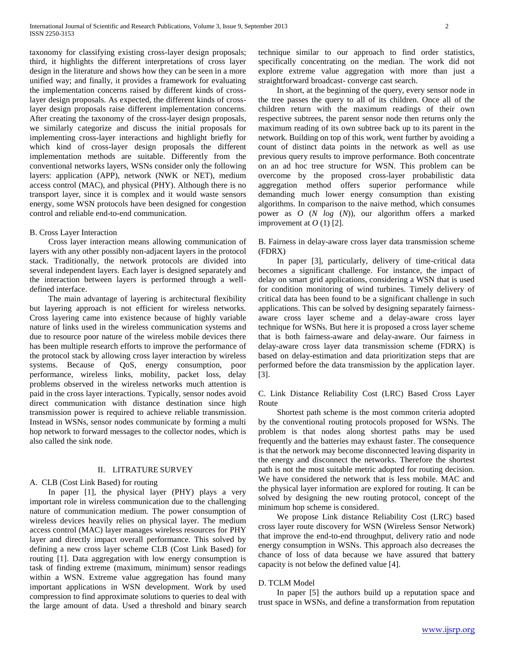taxonomy for classifying existing cross-layer design proposals; third, it highlights the different interpretations of cross layer design in the literature and shows how they can be seen in a more unified way; and finally, it provides a framework for evaluating the implementation concerns raised by different kinds of crosslayer design proposals. As expected, the different kinds of crosslayer design proposals raise different implementation concerns. After creating the taxonomy of the cross-layer design proposals, we similarly categorize and discuss the initial proposals for implementing cross-layer interactions and highlight briefly for which kind of cross-layer design proposals the different implementation methods are suitable. Differently from the conventional networks layers, WSNs consider only the following layers: application (APP), network (NWK or NET), medium access control (MAC), and physical (PHY). Although there is no transport layer, since it is complex and it would waste sensors energy, some WSN protocols have been designed for congestion control and reliable end-to-end communication.

## B. Cross Layer Interaction

 Cross layer interaction means allowing communication of layers with any other possibly non-adjacent layers in the protocol stack. Traditionally, the network protocols are divided into several independent layers. Each layer is designed separately and the interaction between layers is performed through a welldefined interface.

 The main advantage of layering is architectural flexibility but layering approach is not efficient for wireless networks. Cross layering came into existence because of highly variable nature of links used in the wireless communication systems and due to resource poor nature of the wireless mobile devices there has been multiple research efforts to improve the performance of the protocol stack by allowing cross layer interaction by wireless systems. Because of QoS, energy consumption, poor performance, wireless links, mobility, packet loss, delay problems observed in the wireless networks much attention is paid in the cross layer interactions. Typically, sensor nodes avoid direct communication with distance destination since high transmission power is required to achieve reliable transmission. Instead in WSNs, sensor nodes communicate by forming a multi hop network to forward messages to the collector nodes, which is also called the sink node.

## II. LITRATURE SURVEY

## A. CLB (Cost Link Based) for routing

In paper [1], the physical layer (PHY) plays a very important role in wireless communication due to the challenging nature of communication medium. The power consumption of wireless devices heavily relies on physical layer. The medium access control (MAC) layer manages wireless resources for PHY layer and directly impact overall performance. This solved by defining a new cross layer scheme CLB (Cost Link Based) for routing [1]. Data aggregation with low energy consumption is task of finding extreme (maximum, minimum) sensor readings within a WSN. Extreme value aggregation has found many important applications in WSN development. Work by used compression to find approximate solutions to queries to deal with the large amount of data. Used a threshold and binary search technique similar to our approach to find order statistics, specifically concentrating on the median. The work did not explore extreme value aggregation with more than just a straightforward broadcast- converge cast search.

 In short, at the beginning of the query, every sensor node in the tree passes the query to all of its children. Once all of the children return with the maximum readings of their own respective subtrees, the parent sensor node then returns only the maximum reading of its own subtree back up to its parent in the network. Building on top of this work, went further by avoiding a count of distinct data points in the network as well as use previous query results to improve performance. Both concentrate on an ad hoc tree structure for WSN. This problem can be overcome by the proposed cross-layer probabilistic data aggregation method offers superior performance while demanding much lower energy consumption than existing algorithms. In comparison to the naive method, which consumes power as *O* (*N log* (*N*)), our algorithm offers a marked improvement at  $O(1)$  [2].

B. Fairness in delay-aware cross layer data transmission scheme (FDRX)

 In paper [3], particularly, delivery of time-critical data becomes a significant challenge. For instance, the impact of delay on smart grid applications, considering a WSN that is used for condition monitoring of wind turbines. Timely delivery of critical data has been found to be a significant challenge in such applications. This can be solved by designing separately fairnessaware cross layer scheme and a delay-aware cross layer technique for WSNs. But here it is proposed a cross layer scheme that is both fairness-aware and delay-aware. Our fairness in delay-aware cross layer data transmission scheme (FDRX) is based on delay-estimation and data prioritization steps that are performed before the data transmission by the application layer. [3].

C. Link Distance Reliability Cost (LRC) Based Cross Layer Route

 Shortest path scheme is the most common criteria adopted by the conventional routing protocols proposed for WSNs. The problem is that nodes along shortest paths may be used frequently and the batteries may exhaust faster. The consequence is that the network may become disconnected leaving disparity in the energy and disconnect the networks. Therefore the shortest path is not the most suitable metric adopted for routing decision. We have considered the network that is less mobile. MAC and the physical layer information are explored for routing. It can be solved by designing the new routing protocol, concept of the minimum hop scheme is considered.

 We propose Link distance Reliability Cost (LRC) based cross layer route discovery for WSN (Wireless Sensor Network) that improve the end-to-end throughput, delivery ratio and node energy consumption in WSNs. This approach also decreases the chance of loss of data because we have assured that battery capacity is not below the defined value [4].

## D. TCLM Model

 In paper [5] the authors build up a reputation space and trust space in WSNs, and define a transformation from reputation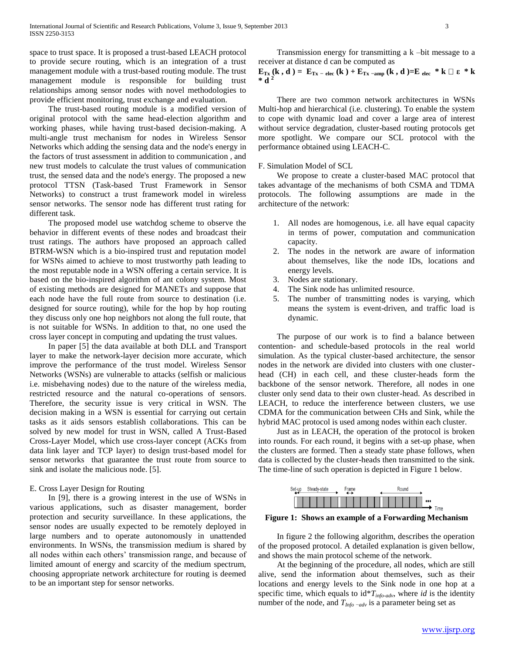space to trust space. It is proposed a trust-based LEACH protocol to provide secure routing, which is an integration of a trust management module with a trust-based routing module. The trust management module is responsible for building trust relationships among sensor nodes with novel methodologies to provide efficient monitoring, trust exchange and evaluation.

 The trust-based routing module is a modified version of original protocol with the same head-election algorithm and working phases, while having trust-based decision-making. A multi-angle trust mechanism for nodes in Wireless Sensor Networks which adding the sensing data and the node's energy in the factors of trust assessment in addition to communication , and new trust models to calculate the trust values of communication trust, the sensed data and the node's energy. The proposed a new protocol TTSN (Task-based Trust Framework in Sensor Networks) to construct a trust framework model in wireless sensor networks. The sensor node has different trust rating for different task.

 The proposed model use watchdog scheme to observe the behavior in different events of these nodes and broadcast their trust ratings. The authors have proposed an approach called BTRM-WSN which is a bio-inspired trust and reputation model for WSNs aimed to achieve to most trustworthy path leading to the most reputable node in a WSN offering a certain service. It is based on the bio-inspired algorithm of ant colony system. Most of existing methods are designed for MANETs and suppose that each node have the full route from source to destination (i.e. designed for source routing), while for the hop by hop routing they discuss only one hop neighbors not along the full route, that is not suitable for WSNs. In addition to that, no one used the cross layer concept in computing and updating the trust values.

 In paper [5] the data available at both DLL and Transport layer to make the network-layer decision more accurate, which improve the performance of the trust model. Wireless Sensor Networks (WSNs) are vulnerable to attacks (selfish or malicious i.e. misbehaving nodes) due to the nature of the wireless media, restricted resource and the natural co-operations of sensors. Therefore, the security issue is very critical in WSN. The decision making in a WSN is essential for carrying out certain tasks as it aids sensors establish collaborations. This can be solved by new model for trust in WSN, called A Trust-Based Cross-Layer Model, which use cross-layer concept (ACKs from data link layer and TCP layer) to design trust-based model for sensor networks that guarantee the trust route from source to sink and isolate the malicious node. [5].

## E. Cross Layer Design for Routing

 In [9], there is a growing interest in the use of WSNs in various applications, such as disaster management, border protection and security surveillance. In these applications, the sensor nodes are usually expected to be remotely deployed in large numbers and to operate autonomously in unattended environments. In WSNs, the transmission medium is shared by all nodes within each others' transmission range, and because of limited amount of energy and scarcity of the medium spectrum, choosing appropriate network architecture for routing is deemed to be an important step for sensor networks.

 Transmission energy for transmitting a k –bit message to a receiver at distance d can be computed as

## **E**<sub>**Tx</sub> (<b>k** , **d** ) = **E**<sub>Tx</sub> − **elec** (**k** ) + **E**<sub>Tx</sub> −amp (**k** , **d** )=**E elec** \* **k**  $\Box$  **ε** \* **k**</sub> **\* d <sup>2</sup>**

 There are two common network architectures in WSNs Multi-hop and hierarchical (i.e. clustering). To enable the system to cope with dynamic load and cover a large area of interest without service degradation, cluster-based routing protocols get more spotlight. We compare our SCL protocol with the performance obtained using LEACH-C.

## F. Simulation Model of SCL

 We propose to create a cluster-based MAC protocol that takes advantage of the mechanisms of both CSMA and TDMA protocols. The following assumptions are made in the architecture of the network:

- 1. All nodes are homogenous, i.e. all have equal capacity in terms of power, computation and communication capacity.
- 2. The nodes in the network are aware of information about themselves, like the node IDs, locations and energy levels.
- 3. Nodes are stationary.
- 4. The Sink node has unlimited resource.
- 5. The number of transmitting nodes is varying, which means the system is event-driven, and traffic load is dynamic.

 The purpose of our work is to find a balance between contention- and schedule-based protocols in the real world simulation. As the typical cluster-based architecture, the sensor nodes in the network are divided into clusters with one clusterhead (CH) in each cell, and these cluster-heads form the backbone of the sensor network. Therefore, all nodes in one cluster only send data to their own cluster-head. As described in LEACH, to reduce the interference between clusters, we use CDMA for the communication between CHs and Sink, while the hybrid MAC protocol is used among nodes within each cluster.

 Just as in LEACH, the operation of the protocol is broken into rounds. For each round, it begins with a set-up phase, when the clusters are formed. Then a steady state phase follows, when data is collected by the cluster-heads then transmitted to the sink. The time-line of such operation is depicted in Figure 1 below.



**Figure 1: Shows an example of a Forwarding Mechanism**

 In figure 2 the following algorithm, describes the operation of the proposed protocol. A detailed explanation is given bellow, and shows the main protocol scheme of the network.

 At the beginning of the procedure, all nodes, which are still alive, send the information about themselves, such as their locations and energy levels to the Sink node in one hop at a specific time, which equals to id\**Tinfo-adv*, where *id* is the identity number of the node, and *TInfo* <sup>−</sup>*adv* is a parameter being set as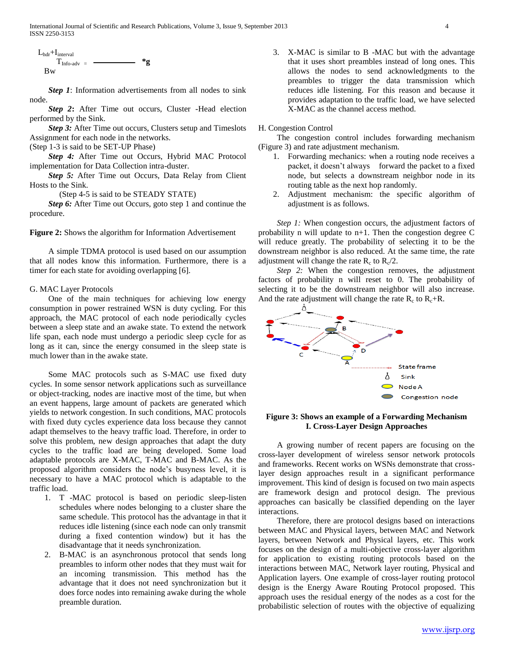$L_{\text{hdr}}+I_{\text{interval}}$  $T<sub>Info-adv</sub> = -$ Bw

 *Step 1*: Information advertisements from all nodes to sink node.

 *Step 2***:** After Time out occurs, Cluster -Head election performed by the Sink.

*Step 3:* After Time out occurs, Clusters setup and Timeslots Assignment for each node in the networks.

(Step 1-3 is said to be SET-UP Phase)

 *Step 4:* After Time out Occurs, Hybrid MAC Protocol implementation for Data Collection intra-duster.

 *Step 5:* After Time out Occurs, Data Relay from Client Hosts to the Sink.

(Step 4-5 is said to be STEADY STATE)

**Step 6:** After Time out Occurs, goto step 1 and continue the procedure.

**Figure 2:** Shows the algorithm for Information Advertisement

 A simple TDMA protocol is used based on our assumption that all nodes know this information. Furthermore, there is a timer for each state for avoiding overlapping [6].

## G. MAC Layer Protocols

 One of the main techniques for achieving low energy consumption in power restrained WSN is duty cycling. For this approach, the MAC protocol of each node periodically cycles between a sleep state and an awake state. To extend the network life span, each node must undergo a periodic sleep cycle for as long as it can, since the energy consumed in the sleep state is much lower than in the awake state.

 Some MAC protocols such as S-MAC use fixed duty cycles. In some sensor network applications such as surveillance or object-tracking, nodes are inactive most of the time, but when an event happens, large amount of packets are generated which yields to network congestion. In such conditions, MAC protocols with fixed duty cycles experience data loss because they cannot adapt themselves to the heavy traffic load. Therefore, in order to solve this problem, new design approaches that adapt the duty cycles to the traffic load are being developed. Some load adaptable protocols are X-MAC, T-MAC and B-MAC. As the proposed algorithm considers the node's busyness level, it is necessary to have a MAC protocol which is adaptable to the traffic load.

- 1. T -MAC protocol is based on periodic sleep-listen schedules where nodes belonging to a cluster share the same schedule. This protocol has the advantage in that it reduces idle listening (since each node can only transmit during a fixed contention window) but it has the disadvantage that it needs synchronization.
- 2. B-MAC is an asynchronous protocol that sends long preambles to inform other nodes that they must wait for an incoming transmission. This method has the advantage that it does not need synchronization but it does force nodes into remaining awake during the whole preamble duration.

3. X-MAC is similar to B -MAC but with the advantage that it uses short preambles instead of long ones. This allows the nodes to send acknowledgments to the preambles to trigger the data transmission which reduces idle listening. For this reason and because it provides adaptation to the traffic load, we have selected X-MAC as the channel access method.

## H. Congestion Control

 The congestion control includes forwarding mechanism (Figure 3) and rate adjustment mechanism.

- 1. Forwarding mechanics: when a routing node receives a packet, it doesn't always forward the packet to a fixed node, but selects a downstream neighbor node in its routing table as the next hop randomly.
- 2. Adjustment mechanism: the specific algorithm of adjustment is as follows.

*Step 1:* When congestion occurs, the adjustment factors of probability n will update to  $n+1$ . Then the congestion degree C will reduce greatly. The probability of selecting it to be the downstream neighbor is also reduced. At the same time, the rate adjustment will change the rate  $R_c$  to  $R_c/2$ .

 *Step 2:* When the congestion removes, the adjustment factors of probability n will reset to 0. The probability of selecting it to be the downstream neighbor will also increase. And the rate adjustment will change the rate  $R_c$  to  $R_c + R$ .



## **Figure 3: Shows an example of a Forwarding Mechanism I. Cross-Layer Design Approaches**

 A growing number of recent papers are focusing on the cross-layer development of wireless sensor network protocols and frameworks. Recent works on WSNs demonstrate that crosslayer design approaches result in a significant performance improvement. This kind of design is focused on two main aspects are framework design and protocol design. The previous approaches can basically be classified depending on the layer interactions.

 Therefore, there are protocol designs based on interactions between MAC and Physical layers, between MAC and Network layers, between Network and Physical layers, etc. This work focuses on the design of a multi-objective cross-layer algorithm for application to existing routing protocols based on the interactions between MAC, Network layer routing, Physical and Application layers. One example of cross-layer routing protocol design is the Energy Aware Routing Protocol proposed. This approach uses the residual energy of the nodes as a cost for the probabilistic selection of routes with the objective of equalizing